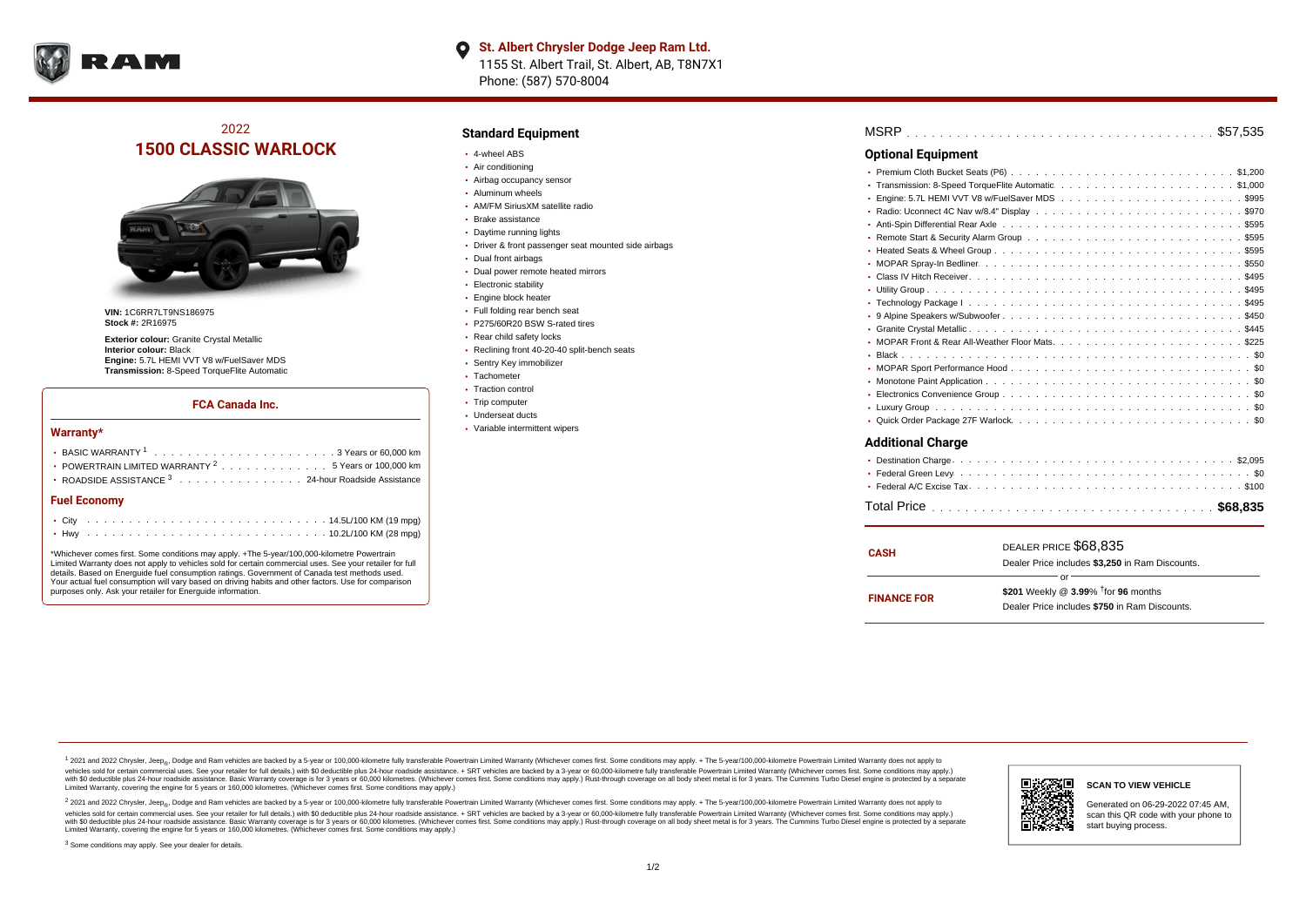

# 2022 **1500 CLASSIC WARLOCK**



**VIN:** 1C6RR7LT9NS186975 **Stock #:** 2R16975

**Exterior colour:** Granite Crystal Metallic **Interior colour:** Black **Engine:** 5.7L HEMI VVT V8 w/FuelSaver MDS **Transmission:** 8-Speed TorqueFlite Automatic

#### **FCA Canada Inc.**

#### **Warranty\***

| POWERTRAIN LIMITED WARRANTY $2, \ldots, \ldots, \ldots, \ldots, 5$ Years or 100,000 km |  |  |  |  |  |
|----------------------------------------------------------------------------------------|--|--|--|--|--|
| • ROADSIDE ASSISTANCE 3 24-hour Roadside Assistance                                    |  |  |  |  |  |
| <b>Fuel Economy</b>                                                                    |  |  |  |  |  |
|                                                                                        |  |  |  |  |  |

\*Whichever comes first. Some conditions may apply. +The 5-year/100,000-kilometre Powertrain Limited Warranty does not apply to vehicles sold for certain commercial uses. See your retailer for full details. Based on Energuide fuel consumption ratings. Government of Canada test methods used. Your actual fuel consumption will vary based on driving habits and other factors. Use for comparison purposes only. Ask your retailer for Energuide information.

. . . . . . . . . . . . . . . . . . . . . . . . . . . . . . . . . . . . . . . . . . . Hwy 10.2L/100 KM (28 mpg)

### **Standard Equipment**

- 4-wheel ABS
- Air conditioning
- Airbag occupancy sensor
- Aluminum wheels
- AM/FM SiriusXM satellite radio
- Brake assistance
- Daytime running lights
- Driver & front passenger seat mounted side airbags
- Dual front airbags
- Dual power remote heated mirrors
- **Electronic stability**
- Engine block heater
- Full folding rear bench seat • P275/60R20 BSW S-rated tires
- 
- Rear child safety locks
- Reclining front 40-20-40 split-bench seats
- Sentry Key immobilizer Tachometer
- Traction control
- Trip computer
- Underseat ducts
- Variable intermittent wipers

| <b>Optional Equipment</b> |
|---------------------------|
|                           |
|                           |
|                           |
|                           |
|                           |
|                           |
|                           |
|                           |
|                           |
|                           |
|                           |
|                           |
|                           |
|                           |
|                           |
|                           |
|                           |
|                           |
|                           |
|                           |
| <b>Additional Charge</b>  |

| <b>CASH</b>        | DEALER PRICE \$68,835<br>Dealer Price includes \$3,250 in Ram Discounts.                                  |
|--------------------|-----------------------------------------------------------------------------------------------------------|
| <b>FINANCE FOR</b> | Ωr<br>\$201 Weekly @ $3.99\%$ <sup>†</sup> for 96 months<br>Dealer Price includes \$750 in Ram Discounts. |

<sup>1</sup> 2021 and 2022 Chrysler, Jeep<sub>®</sub>, Dodge and Ram vehicles are backed by a 5-year or 100,000-kilometre fully transferable Powertrain Limited Warranty (Whichever comes first. Some conditions may apply. + The 5-year/100,000 vehicles sold for certain commercial uses. See your retailer for full details.) with \$0 deductible plus 24 hour roadside assistance. + SRT vehicles are backed by a 3-year or 60,000-kilometre fully transferable Powertrain L versus and contract the mean of the contract of the contract with a contract with a contract the contract of the contract of the contract the contract of the contract of the contract of the contract of the contract of the Limited Warranty, covering the engine for 5 years or 160,000 kilometres. (Whichever comes first. Some conditions may apply.)

2 2021 and 2022 Chrysler, Jeep<sub>®</sub>, Dodge and Ram vehicles are backed by a 5-year or 100,000-kilometre fully transferable Powertrain Limited Warranty (Whichever comes first. Some conditions may apply. + The 5-year/100,000-k vehicles sold for certain commercial uses. See your retailer for full details.) with SO deductible plus 24-hour roadside assistance. + SRT vehicles are backed by a 3-year or 60.000-kilometre fully transferable Powertrain. with S0 deductible plus 24-hour roadside assistance. Basic Warranty coverage is for 3 years or 60,000 kilometres. (Whichever comes first. Some conditions may apply.) Rust-through coverage on all body sheet metal is for 3 y



### **SCAN TO VIEW VEHICLE**

Generated on 06-29-2022 07:45 AM, scan this QR code with your phone to start buying process.

<sup>3</sup> Some conditions may apply. See your dealer for details.